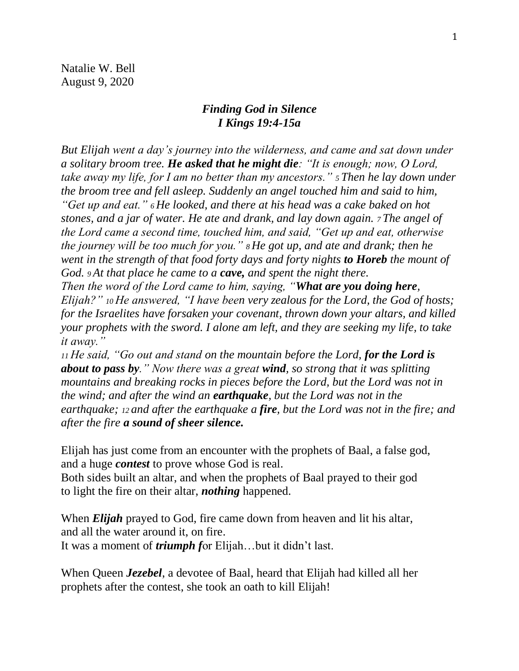Natalie W. Bell August 9, 2020

## *Finding God in Silence I Kings 19:4-15a*

*But Elijah went a day's journey into the wilderness, and came and sat down under a solitary broom tree. He asked that he might die: "It is enough; now, O Lord, take away my life, for I am no better than my ancestors." <sup>5</sup> Then he lay down under the broom tree and fell asleep. Suddenly an angel touched him and said to him, "Get up and eat." <sup>6</sup> He looked, and there at his head was a cake baked on hot stones, and a jar of water. He ate and drank, and lay down again. <sup>7</sup> The angel of the Lord came a second time, touched him, and said, "Get up and eat, otherwise the journey will be too much for you." <sup>8</sup> He got up, and ate and drank; then he went in the strength of that food forty days and forty nights to Horeb the mount of God. <sup>9</sup> At that place he came to a cave, and spent the night there.*

*Then the word of the Lord came to him, saying, "What are you doing here, Elijah?" <sup>10</sup> He answered, "I have been very zealous for the Lord, the God of hosts; for the Israelites have forsaken your covenant, thrown down your altars, and killed your prophets with the sword. I alone am left, and they are seeking my life, to take it away."*

*<sup>11</sup> He said, "Go out and stand on the mountain before the Lord, for the Lord is about to pass by." Now there was a great wind, so strong that it was splitting mountains and breaking rocks in pieces before the Lord, but the Lord was not in the wind; and after the wind an earthquake, but the Lord was not in the earthquake; <sup>12</sup> and after the earthquake a fire, but the Lord was not in the fire; and after the fire a sound of sheer silence.*

Elijah has just come from an encounter with the prophets of Baal, a false god, and a huge *contest* to prove whose God is real.

Both sides built an altar, and when the prophets of Baal prayed to their god to light the fire on their altar, *nothing* happened.

When *Elijah* prayed to God, fire came down from heaven and lit his altar, and all the water around it, on fire. It was a moment of *triumph f*or Elijah…but it didn't last.

When Queen *Jezebel*, a devotee of Baal, heard that Elijah had killed all her prophets after the contest, she took an oath to kill Elijah!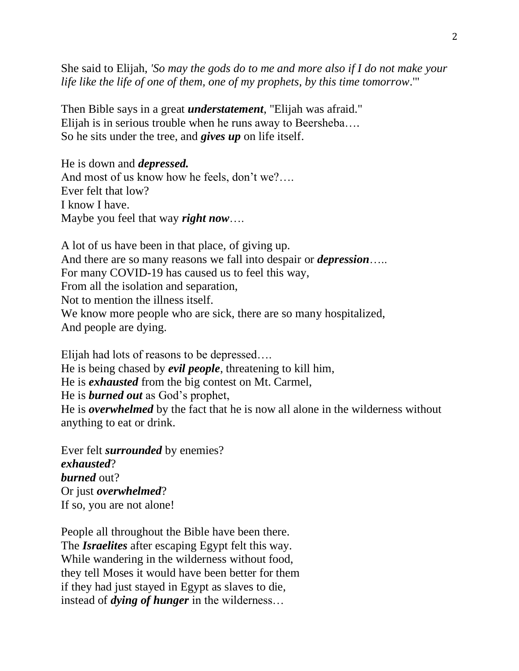She said to Elijah, *'So may the gods do to me and more also if I do not make your life like the life of one of them, one of my prophets, by this time tomorrow*.'"

Then Bible says in a great *understatement*, "Elijah was afraid." Elijah is in serious trouble when he runs away to Beersheba…. So he sits under the tree, and *gives up* on life itself.

He is down and *depressed.* And most of us know how he feels, don't we?…. Ever felt that low? I know I have. Maybe you feel that way *right now*….

A lot of us have been in that place, of giving up. And there are so many reasons we fall into despair or *depression*….. For many COVID-19 has caused us to feel this way, From all the isolation and separation, Not to mention the illness itself. We know more people who are sick, there are so many hospitalized, And people are dying.

Elijah had lots of reasons to be depressed…. He is being chased by *evil people*, threatening to kill him, He is *exhausted* from the big contest on Mt. Carmel, He is *burned out* as God's prophet, He is *overwhelmed* by the fact that he is now all alone in the wilderness without anything to eat or drink.

Ever felt *surrounded* by enemies? *exhausted*? *burned* out? Or just *overwhelmed*? If so, you are not alone!

People all throughout the Bible have been there. The *Israelites* after escaping Egypt felt this way. While wandering in the wilderness without food, they tell Moses it would have been better for them if they had just stayed in Egypt as slaves to die, instead of *dying of hunger* in the wilderness…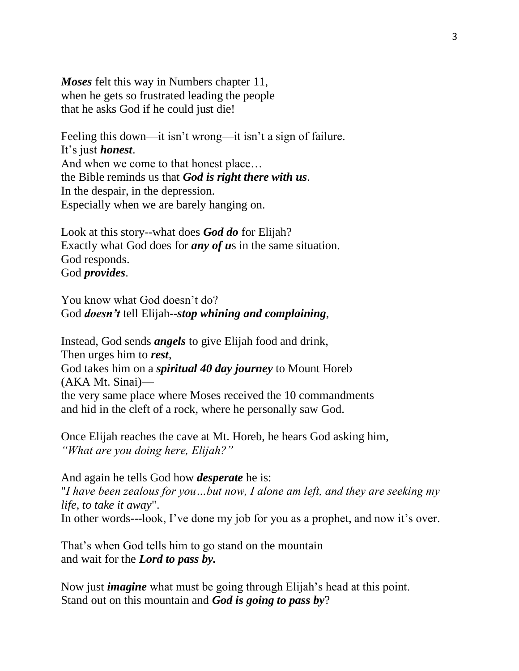*Moses* felt this way in Numbers chapter 11, when he gets so frustrated leading the people that he asks God if he could just die!

Feeling this down—it isn't wrong—it isn't a sign of failure. It's just *honest*. And when we come to that honest place… the Bible reminds us that *God is right there with us*. In the despair, in the depression. Especially when we are barely hanging on.

Look at this story--what does *God do* for Elijah? Exactly what God does for *any of u*s in the same situation. God responds. God *provides*.

You know what God doesn't do? God *doesn't* tell Elijah--*stop whining and complaining*,

Instead, God sends *angels* to give Elijah food and drink, Then urges him to *rest*, God takes him on a *spiritual 40 day journey* to Mount Horeb (AKA Mt. Sinai) the very same place where Moses received the 10 commandments and hid in the cleft of a rock, where he personally saw God.

Once Elijah reaches the cave at Mt. Horeb, he hears God asking him, *"What are you doing here, Elijah?"*

And again he tells God how *desperate* he is: "*I have been zealous for you…but now, I alone am left, and they are seeking my life, to take it away*". In other words---look, I've done my job for you as a prophet, and now it's over.

That's when God tells him to go stand on the mountain and wait for the *Lord to pass by.*

Now just *imagine* what must be going through Elijah's head at this point. Stand out on this mountain and *God is going to pass by*?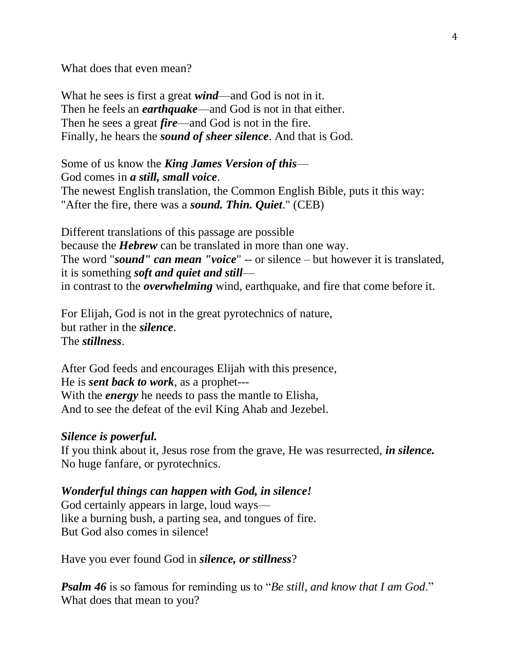What does that even mean?

What he sees is first a great *wind*—and God is not in it. Then he feels an *earthquake*—and God is not in that either. Then he sees a great *fire*—and God is not in the fire. Finally, he hears the *sound of sheer silence*. And that is God.

Some of us know the *King James Version of this*— God comes in *a still, small voice*. The newest English translation, the Common English Bible, puts it this way: "After the fire, there was a *sound. Thin. Quiet*." (CEB)

Different translations of this passage are possible because the *Hebrew* can be translated in more than one way. The word "*sound" can mean "voice*" -- or silence – but however it is translated, it is something *soft and quiet and still* in contrast to the *overwhelming* wind, earthquake, and fire that come before it.

For Elijah, God is not in the great pyrotechnics of nature, but rather in the *silence*. The *stillness*.

After God feeds and encourages Elijah with this presence, He is *sent back to work*, as a prophet--- With the *energy* he needs to pass the mantle to Elisha, And to see the defeat of the evil King Ahab and Jezebel.

## *Silence is powerful.*

If you think about it, Jesus rose from the grave, He was resurrected, *in silence.* No huge fanfare, or pyrotechnics.

## *Wonderful things can happen with God, in silence!*

God certainly appears in large, loud ways like a burning bush, a parting sea, and tongues of fire. But God also comes in silence!

Have you ever found God in *silence, or stillness*?

*Psalm 46* is so famous for reminding us to "*Be still, and know that I am God*." What does that mean to you?